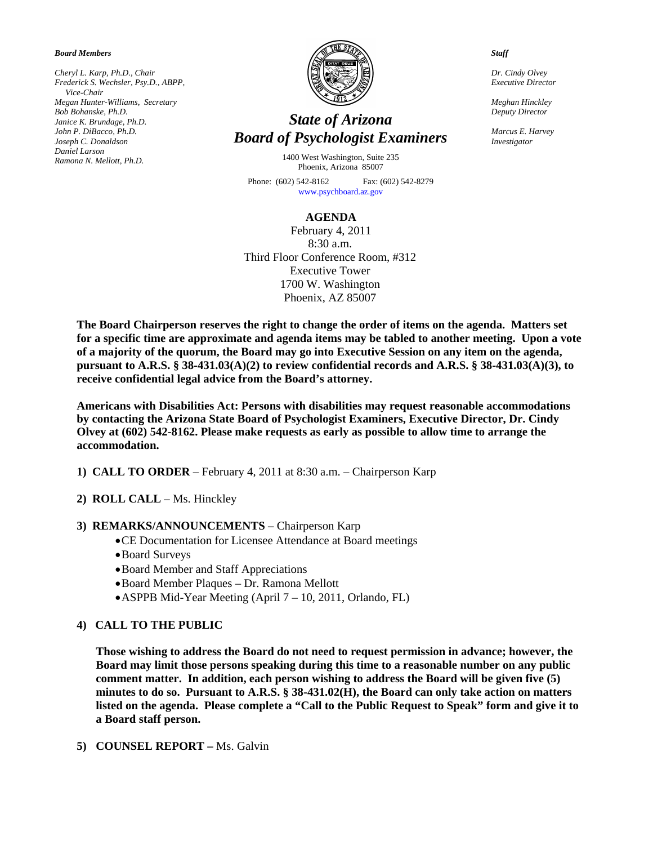*Board Members* 

*Cheryl L. Karp, Ph.D., Chair Frederick S. Wechsler, Psy.D., ABPP, Vice-Chair Megan Hunter-Williams, Secretary Bob Bohanske, Ph.D. Janice K. Brundage, Ph.D. John P. DiBacco, Ph.D. Joseph C. Donaldson Daniel Larson Ramona N. Mellott, Ph.D.* 



# *State of Arizona Board of Psychologist Examiners*

1400 West Washington, Suite 235 Phoenix, Arizona 85007

Phone: (602) 542-8162 Fax: (602) 542-8279 [www.psychboard.az.gov](http://www.psychboard.az.gov/)

#### **AGENDA**

February 4, 2011 8:30 a.m. Third Floor Conference Room, #312 Executive Tower 1700 W. Washington Phoenix, AZ 85007

**The Board Chairperson reserves the right to change the order of items on the agenda. Matters set for a specific time are approximate and agenda items may be tabled to another meeting. Upon a vote of a majority of the quorum, the Board may go into Executive Session on any item on the agenda, pursuant to A.R.S. § 38-431.03(A)(2) to review confidential records and A.R.S. § 38-431.03(A)(3), to receive confidential legal advice from the Board's attorney.** 

**Americans with Disabilities Act: Persons with disabilities may request reasonable accommodations by contacting the Arizona State Board of Psychologist Examiners, Executive Director, Dr. Cindy Olvey at (602) 542-8162. Please make requests as early as possible to allow time to arrange the accommodation.** 

- **1) CALL TO ORDER** February 4, 2011 at 8:30 a.m. Chairperson Karp
- **2) ROLL CALL** Ms. Hinckley

### **3) REMARKS/ANNOUNCEMENTS** – Chairperson Karp

- CE Documentation for Licensee Attendance at Board meetings
- Board Surveys
- Board Member and Staff Appreciations
- Board Member Plaques Dr. Ramona Mellott
- ASPPB Mid-Year Meeting (April 7 10, 2011, Orlando, FL)

### **4) CALL TO THE PUBLIC**

**Those wishing to address the Board do not need to request permission in advance; however, the Board may limit those persons speaking during this time to a reasonable number on any public comment matter. In addition, each person wishing to address the Board will be given five (5) minutes to do so. Pursuant to A.R.S. § 38-431.02(H), the Board can only take action on matters listed on the agenda. Please complete a "Call to the Public Request to Speak" form and give it to a Board staff person.** 

**5) COUNSEL REPORT –** Ms. Galvin

*Staff* 

*Dr. Cindy Olvey Executive Director* 

*Meghan Hinckley Deputy Director* 

*Marcus E. Harvey Investigator*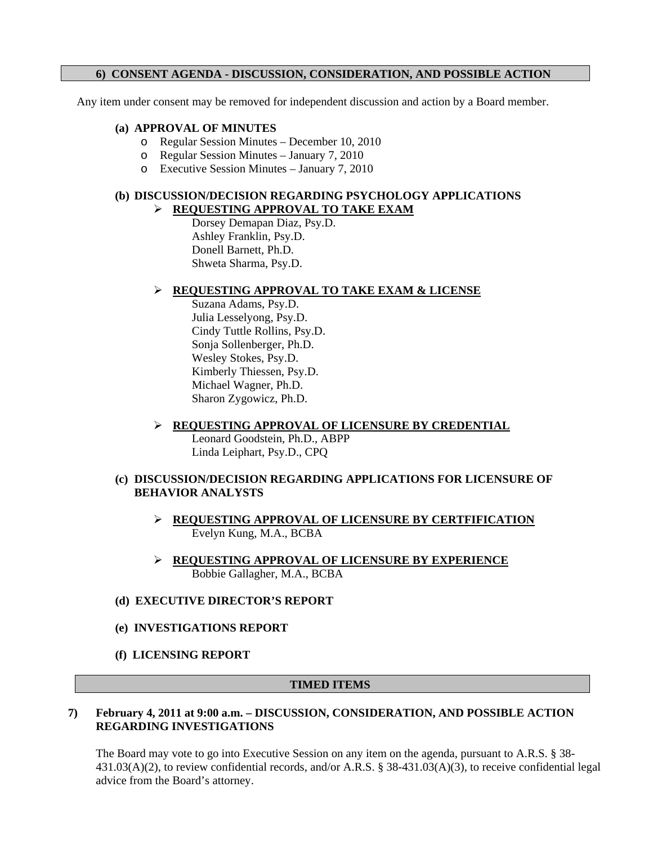## **6) CONSENT AGENDA - DISCUSSION, CONSIDERATION, AND POSSIBLE ACTION**

Any item under consent may be removed for independent discussion and action by a Board member.

### **(a) APPROVAL OF MINUTES**

- o Regular Session Minutes December 10, 2010
- o Regular Session Minutes January 7, 2010
- o Executive Session Minutes January 7, 2010

## **(b) DISCUSSION/DECISION REGARDING PSYCHOLOGY APPLICATIONS**

### **REQUESTING APPROVAL TO TAKE EXAM**

Dorsey Demapan Diaz, Psy.D. Ashley Franklin, Psy.D. Donell Barnett, Ph.D. Shweta Sharma, Psy.D.

### **REQUESTING APPROVAL TO TAKE EXAM & LICENSE**

Suzana Adams, Psy.D. Julia Lesselyong, Psy.D. Cindy Tuttle Rollins, Psy.D. Sonja Sollenberger, Ph.D. Wesley Stokes, Psy.D. Kimberly Thiessen, Psy.D. Michael Wagner, Ph.D. Sharon Zygowicz, Ph.D.

 **REQUESTING APPROVAL OF LICENSURE BY CREDENTIAL**  Leonard Goodstein, Ph.D., ABPP Linda Leiphart, Psy.D., CPQ

#### **(c) DISCUSSION/DECISION REGARDING APPLICATIONS FOR LICENSURE OF BEHAVIOR ANALYSTS**

- **REQUESTING APPROVAL OF LICENSURE BY CERTFIFICATION**  Evelyn Kung, M.A., BCBA
- **REQUESTING APPROVAL OF LICENSURE BY EXPERIENCE**  Bobbie Gallagher, M.A., BCBA

#### **(d) EXECUTIVE DIRECTOR'S REPORT**

### **(e) INVESTIGATIONS REPORT**

**(f) LICENSING REPORT** 

### **TIMED ITEMS**

### **7) February 4, 2011 at 9:00 a.m. – DISCUSSION, CONSIDERATION, AND POSSIBLE ACTION REGARDING INVESTIGATIONS**

The Board may vote to go into Executive Session on any item on the agenda, pursuant to A.R.S. § 38-431.03(A)(2), to review confidential records, and/or A.R.S. § 38-431.03(A)(3), to receive confidential legal advice from the Board's attorney.